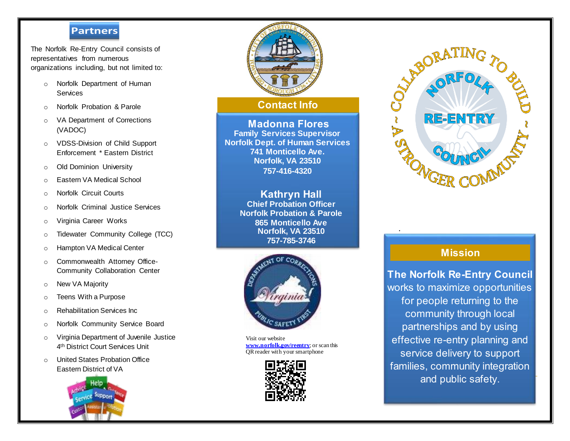### **Council Partners**

 The Norfolk Re-Entry Council consists of representatives from numerous organizations including, but not limited to:

- o Norfolk Department of Human **Services**
- o Norfolk Probation & Parole
- o VA Department of Corrections (VADOC)
- o VDSS-Division of Child Support Enforcement \* Eastern District
- o Old Dominion University
- o Eastern VA Medical School
- o Norfolk Circuit Courts
- o Norfolk Criminal Justice Services
- o Virginia Career Works
- o Tidewater Community College (TCC)
- o Hampton VA Medical Center
- o Commonwealth Attorney Office-Community Collaboration Center
- o New VA Majority
- o Teens With a Purpose
- o Rehabilitation Services Inc
- o Norfolk Community Service Board
- o Virginia Department of Juvenile Justice 4 th District Court Services Unit
- o United States Probation Office Eastern District of VA





## **Contact Info**

**Madonna Flores Family Services Supervisor Norfolk Dept. of Human Services 741 Monticello Ave. Norfolk, VA 23510 757-416-4320**

> **Kathryn Hall Chief Probation Officer Norfolk Probation & Parole 865 Monticello Ave Norfolk, VA 23510 757-785-3746**



Visit our website **[www.norfolk.gov/reentry](http://www.norfolk.gov/reentry)**; or scan this QR reader with your smartphone



**Norfolk Probation & Parole**



# **Mission**

*.*

**The Norfolk Re-Entry Council** works to maximize opportunities for people returning to the community through local partnerships and by using effective re-entry planning and service delivery to support families, community integration and public safety.